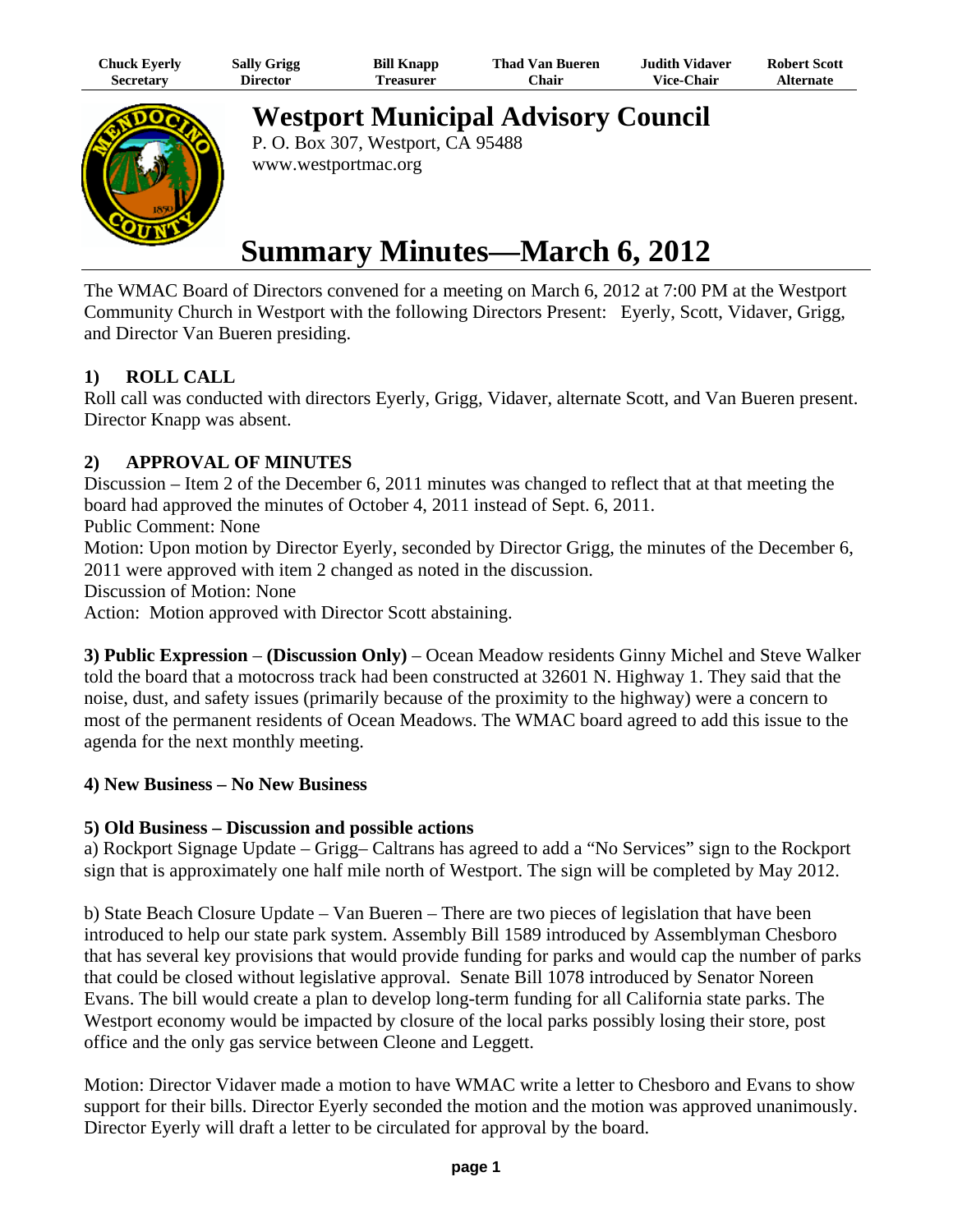| Chuck Eyerly     | <b>Sally Grigg</b> | <b>Bill Knapp</b> | Thad Van Bueren | Judith Vidaver.   | <b>Robert Scott</b> |
|------------------|--------------------|-------------------|-----------------|-------------------|---------------------|
| <b>Secretary</b> | Director           | `reasurer         | ∵hair           | <b>Vice-Chair</b> | <b>Alternate</b>    |



**Westport Municipal Advisory Council**

P. O. Box 307, Westport, CA 95488 www.westportmac.org

# **Summary Minutes—March 6, 2012**

The WMAC Board of Directors convened for a meeting on March 6, 2012 at 7:00 PM at the Westport Community Church in Westport with the following Directors Present: Eyerly, Scott, Vidaver, Grigg, and Director Van Bueren presiding.

## **1) ROLL CALL**

Roll call was conducted with directors Eyerly, Grigg, Vidaver, alternate Scott, and Van Bueren present. Director Knapp was absent.

### **2) APPROVAL OF MINUTES**

Discussion – Item 2 of the December 6, 2011 minutes was changed to reflect that at that meeting the board had approved the minutes of October 4, 2011 instead of Sept. 6, 2011.

Public Comment: None

Motion: Upon motion by Director Eyerly, seconded by Director Grigg, the minutes of the December 6, 2011 were approved with item 2 changed as noted in the discussion.

Discussion of Motion: None

Action: Motion approved with Director Scott abstaining.

**3) Public Expression** – **(Discussion Only)** – Ocean Meadow residents Ginny Michel and Steve Walker told the board that a motocross track had been constructed at 32601 N. Highway 1. They said that the noise, dust, and safety issues (primarily because of the proximity to the highway) were a concern to most of the permanent residents of Ocean Meadows. The WMAC board agreed to add this issue to the agenda for the next monthly meeting.

#### **4) New Business – No New Business**

#### **5) Old Business – Discussion and possible actions**

a) Rockport Signage Update – Grigg– Caltrans has agreed to add a "No Services" sign to the Rockport sign that is approximately one half mile north of Westport. The sign will be completed by May 2012.

b) State Beach Closure Update – Van Bueren – There are two pieces of legislation that have been introduced to help our state park system. Assembly Bill 1589 introduced by Assemblyman Chesboro that has several key provisions that would provide funding for parks and would cap the number of parks that could be closed without legislative approval. Senate Bill 1078 introduced by Senator Noreen Evans. The bill would create a plan to develop long-term funding for all California state parks. The Westport economy would be impacted by closure of the local parks possibly losing their store, post office and the only gas service between Cleone and Leggett.

Motion: Director Vidaver made a motion to have WMAC write a letter to Chesboro and Evans to show support for their bills. Director Eyerly seconded the motion and the motion was approved unanimously. Director Eyerly will draft a letter to be circulated for approval by the board.